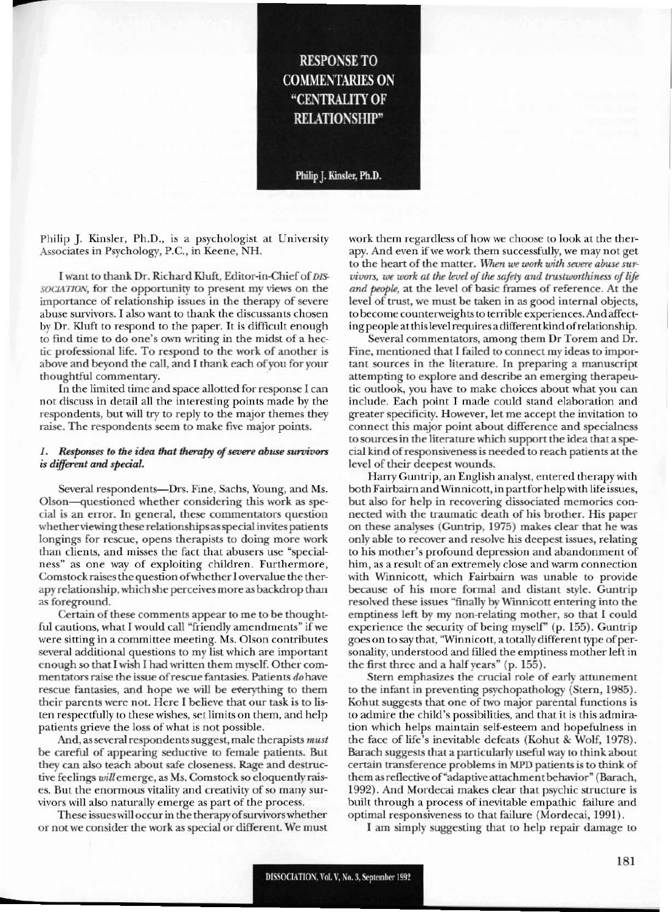# **RESPONSE TO COMMENTARIES ON "CENTRALITY OF RELATIONSHIP"**

Philip J. Kinsler, Ph.D.

Philip J. Kinsler, Ph.D., is a psychologist at University Associates in Psychology, P.C., in Keene. NH.

--

I want to thank Dr. Richard Kluft, Editor-in-Chief of *DIS-SOCIATION,* for the opportunity to present my views on the importance of relationship issues in the therapy of severe abuse survivors. I also want to thank the discussants chosen by Dr. Kluft to respond to the paper. It is difficult enough to find time to do one's own writing in the midst of a hectic professional life. To respond to the work of another is above and beyond the call, and I thank each of you for your thoughtful commentary.

In the limited time and space allotted for response I can not discuss in detail all the interesting points made by the respondents, but will try to reply to the major themes they raise. The respondents seem to make five major points.

#### *1.* Responses to the *idea that therapy* of *severe abuse survivors is different and :special.*

Several respondents-Drs. Fine, Sachs, Young, and Ms. Olson—questioned whether considering this work as special is an error. In general, these commentators question whether viewing these relationships as special invites patients longings for rescue, opens therapists to doing more work than clients, and misses the fact that abusers use "specialness" as one way of exploiting children. Furthermore, Comstock raises the question of whether I overvalue the therapy relationship.which she perceivesmore as backdrop than as foreground.

Certain of these comments appear to me to be thoughtful cautions, what I would call "friendly amendments" if we were sitting in a committee meeting. Ms. Olson contributes several additional questions to my list which are important enough so that I wish I had written them myself. Other commentators raise the issue ofrescue fantasies. Patients do have rescue fantasies, and hope we will be everything to them their parents were not. Here I believe that our task is to listen respectfully to these wishes, set limits on them, and help patients grieve the loss of what is not possible.

And, as several respondents suggest, male therapists *must* be careful of appearing seductive to female patients. But they can also teach about safe closeness. Rage and destructive feelings will emerge, as Ms. Comstock so eloquently raises. But the enormous vitality and creativity of so many survivors will also naturally emerge as part of the process.

These issueswill occur in the therapyofsurvivorswhether or not we consider the work as special or different. We must work them regardless of how we choose to look at the therapy. And even if we work them successfully, we may not get to the heart of the matter. When we work with severe abuse sur*vivors, we work at the level of the safety and trustworthiness of life* and people, at the level of basic frames of reference. At the level of trust. we must be taken in as good internal objects, to become counterweights to terrible experiences. And affecting people atthislevel requiresadifferent kind ofrelationship.

Several commentators, among them Dr Torem and Dr. Fine, mentioned that I failed to connect my ideas to important sources in the literature. In preparing a manuscript attempting to explore and describe an emerging therapeutic outlook, you have to make choices about what you can include. Each point I made could stand elaboration and greater specificity. However, let me accept the invitation to connect this major point about difference and specialness to sources in the literature which support the idea that a special kind ofresponsiveness is needed to reach patients at the level of their deepest wounds.

Harry Guntrip, an English analyst, entered therapy with both Fairbairn and Winnicott, in part for help with life issues, but also for help in recovering dissociated memories connected with the traumatic death of his brother. His paper on these analyses (Guntrip, 1975) makes clear that he was only able to recover and resolve his deepest issues. relating to his mother's profound depression and abandonment of him, as a result of an extremcly close and warm conncction with Winnicott, which Fairbairn was unable to provide because of his more formal and distant style. Cuntrip resolved these issues "finally by Winnicott entering into the emptiness left by my non-relating mother, so that I could experience the security of being myself' (p. 155). Guntrip goes on to say that, "Winnicott, a totally different type of personality, understood and filled the emptiness mother left in the first three and a half years" (p. 155).

Stern emphasizes the crucial role of early attunement to the infant in preventing psychopathology (Stem. 1985). Kohut suggests that one of two major parental functions is to admire the child's possibilities, and that it is this admiration which helps maintain self-esteem and hopefulness in the face of life's inevitable defeats (Kohut & Wolf, 1978). Barach suggests that a particularly useful way 10 think about certain transference problems in MPD patients is to think of them as reflective of "adaptive attachment behavior" (Barach, 1992). And Mordecai makes clear that psychic structure is buill through a process of inevitable empathic failure and optimal responsiveness to that failure (Mordecai, 1991).

I am simply suggesting that to help repair damage to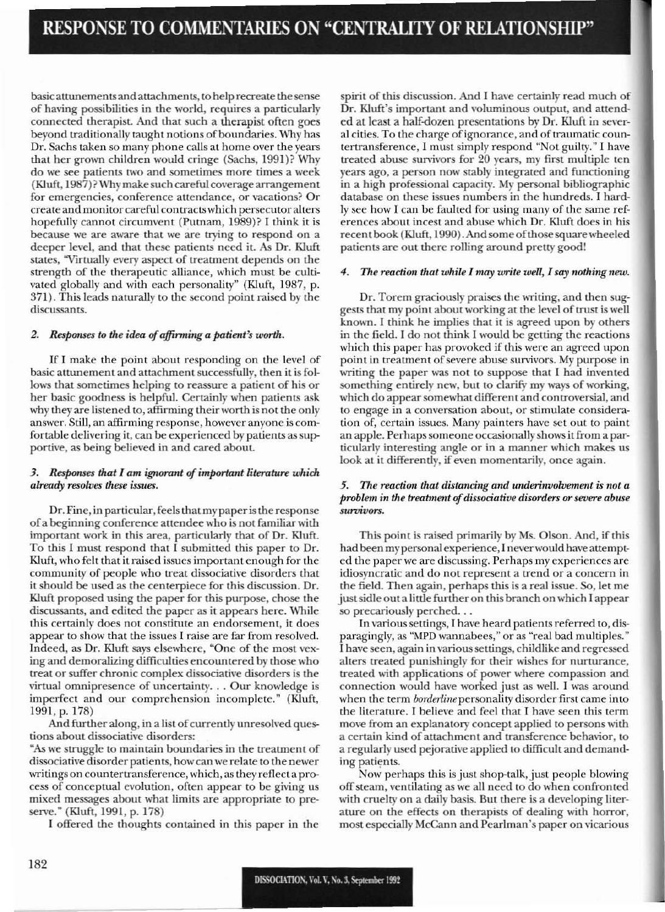basic attunements and attachments, to help recreate the sense of having possibilities in the world. requires a particularly connected therapist. And that such a therapist often goes beyond traditionally taught notions of boundaries. Why has Dr. Sachs taken so many phone calls at home over the years that her grown children would cringe (Sachs, 1991)? Why do we see patients two and sometimes more times a week  $(Kluff, 1987)$ ? Why make such careful coverage arrangement for emergencies, conference attendance, or vacations? Or create and monitor careful contractswhich persecutor alters hopefully cannot circumvent (Putnam, 1989)? I think it is because we are aware that we are trying to respond on a deeper level, and that these patients need it. *As* Dr. Kluft states, "Virtually every aspect of treatment depends on the strength of the therapeutic alliance, which must be cultivated globally and with each personality" (KIuft, 1987, p. 371). This leads naturally to the second point raised by the discussants.

### *2. Responses to the idea* of*affirming a patient's* worth.

If I make the point about responding on the level of basic attunement and attachment successfully, then it is follows that sometimes helping to reassure a patient of his or her basic goodness is helpful. Certainly when patients ask why they are listened to, affirming their worth is not the only answer. Still, an affirming response, however anyone is comfortable delivering it, can be experienced by patients as supportive, as being believed in and cared about.

## *3. Responses thaI I am ignorant* of*important literature whidt already resolves these issues.*

Dr. Fine, in particular, feels that my paper is the response of a beginning conference attendee who is not familiar with important work in this area, particularly that of Dr. Kluft. To this I must respond that I submitted this paper to Dr. Kluft, who felt that it raised issues important enough for the community of people who treat dissociative disorders that it should be used as the centerpiece for this discussion. Dr. Kluft proposed using the paper for this purpose, chose the discussants. and edited the paper as it appears here. While this certainly does not constitute an endorsement, it does appear to show that the issues I raise are far from resolved. Indeed, as Dr. Kluft says elsewhere. "One of the most vexing and demoralizing difficulties encountered by those who treat or suffer chronic complex dissociative disorders is the virtual omnipresence of uncertainty... Our knowledgc is imperfect and our comprehension incomplete." (Kluft, 1991, p. 178)

And further along, in a list of currently unresolved questions about dissociative disorders:

"As we struggle to maintain boundaries in the treatment of dissociative disorder patients, howcan we relate to the newer writings on countertransference, which, as they reflect a process of conceptual evolution, often appear to be giving us mixed messages about what limits are appropriate to preserve." (Kluft, 1991, p. 178)

I offered the thoughts contained in this paper in the

spirit of this discussion. And I have certainly read much of Dr. Kluft's important and voluminous output, and attended at least a half-dozen presentations by Dr. Kluft in several cities. To the charge of ignorance, and of traumatic countertransference, I must simply respond "Not guilty." I have treated abuse survivors for 20 years, my first multiple ten years ago, a person now stably integrated and functioning in a high professional capacity. My personal bibliographic database on these issues numbers in the hundreds. I hard~ ly sec how J can be faulted for using many of thc same references about incest and abuse which Dr. Kluft does in his recent book (Kluft, 1990). And some of those square wheeled patients are out there rolling around pretty good!

### *4. The reaction that while I may write well, 1 say nothing new.*

Dr. Torem graciously praises the writing, and then suggests that my point about working at the level of trust is well known. I think he implies that it is agreed upon by others in the field. I do not think I would be getting the reactions which this paper has provoked if this were an agreed upon point in treatment of severe abuse survivors. My purpose in writing the paper was not to suppose that I had invented something entirely new, but to clarify my ways of working, which do appear somewhat different and controversial, and to engage in a conversation about, or stimulate consideration of, certain issues. Many painters have set out to paint an apple. Perhaps someone occasionally shows it from a particularly interesting angle or in a manner which makes us look at it differently, if even momentarily, once again.

## 5. The reaction that distancing and underinvolvement is not a *problem in the treatmellt ofdissociative disorders or severe abuse survivors.*

This point is raised primarily by Ms. Olson. And, if this had been my personal experience, I never would have attempted the paper we are discussing. Perhaps my experiences are idiosyncratic and do not represent a trend or a concern in the field. Then again, perhaps this is a real issue. So, let me just sidle out a little further on this branch on which I appear so precariously perched...

In various settings, I have heard patients referred to, disparagingly, as "MPD wannabees," or as "real bad multiples." I have seen, again in various settings, childlike and regressed alters treated punishingly for their wishes for nurturance, treated with applications of power where compassion and connection would have worked just as well. I was around when the term *borderline* personality disorder first came into the literature. I believe and feel that I have seen this term move from an explanatory concept applied to persons with a certain kind of attachment and transference behavior, to a regularly used pejorative applied to difficult and demanding patients.

Now perhaps this is just shop-talk, just people blowing off steam, ventilating as we all need to do when confronted with cruelty on a daily basis. But there is a developing literature on the effects on therapists of dealing with horror, most especially McCann and Pearlman's paper on vicarious